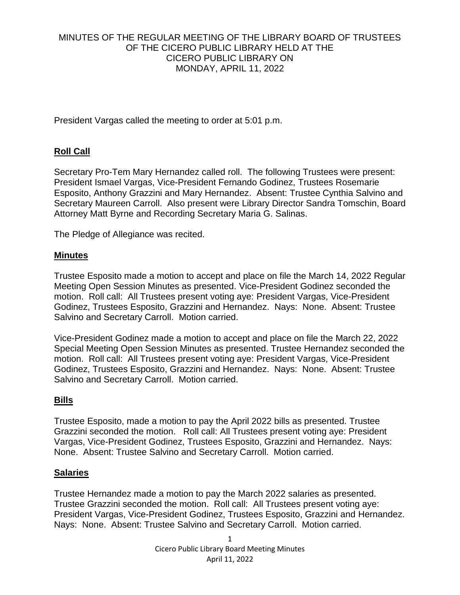## MINUTES OF THE REGULAR MEETING OF THE LIBRARY BOARD OF TRUSTEES OF THE CICERO PUBLIC LIBRARY HELD AT THE CICERO PUBLIC LIBRARY ON MONDAY, APRIL 11, 2022

President Vargas called the meeting to order at 5:01 p.m.

# **Roll Call**

Secretary Pro-Tem Mary Hernandez called roll. The following Trustees were present: President Ismael Vargas, Vice-President Fernando Godinez, Trustees Rosemarie Esposito, Anthony Grazzini and Mary Hernandez. Absent: Trustee Cynthia Salvino and Secretary Maureen Carroll. Also present were Library Director Sandra Tomschin, Board Attorney Matt Byrne and Recording Secretary Maria G. Salinas.

The Pledge of Allegiance was recited.

### **Minutes**

Trustee Esposito made a motion to accept and place on file the March 14, 2022 Regular Meeting Open Session Minutes as presented. Vice-President Godinez seconded the motion. Roll call: All Trustees present voting aye: President Vargas, Vice-President Godinez, Trustees Esposito, Grazzini and Hernandez. Nays: None. Absent: Trustee Salvino and Secretary Carroll. Motion carried.

Vice-President Godinez made a motion to accept and place on file the March 22, 2022 Special Meeting Open Session Minutes as presented. Trustee Hernandez seconded the motion. Roll call: All Trustees present voting aye: President Vargas, Vice-President Godinez, Trustees Esposito, Grazzini and Hernandez. Nays: None. Absent: Trustee Salvino and Secretary Carroll. Motion carried.

## **Bills**

Trustee Esposito, made a motion to pay the April 2022 bills as presented. Trustee Grazzini seconded the motion. Roll call: All Trustees present voting aye: President Vargas, Vice-President Godinez, Trustees Esposito, Grazzini and Hernandez. Nays: None. Absent: Trustee Salvino and Secretary Carroll. Motion carried.

## **Salaries**

Trustee Hernandez made a motion to pay the March 2022 salaries as presented. Trustee Grazzini seconded the motion. Roll call: All Trustees present voting aye: President Vargas, Vice-President Godinez, Trustees Esposito, Grazzini and Hernandez. Nays: None. Absent: Trustee Salvino and Secretary Carroll. Motion carried.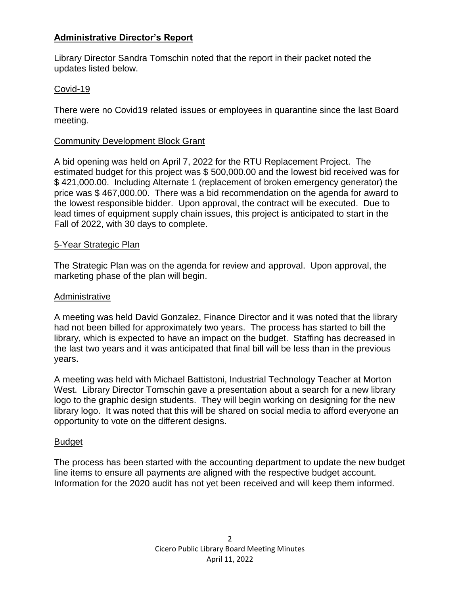## **Administrative Director's Report**

Library Director Sandra Tomschin noted that the report in their packet noted the updates listed below.

## Covid-19

There were no Covid19 related issues or employees in quarantine since the last Board meeting.

### Community Development Block Grant

A bid opening was held on April 7, 2022 for the RTU Replacement Project. The estimated budget for this project was \$ 500,000.00 and the lowest bid received was for \$ 421,000.00. Including Alternate 1 (replacement of broken emergency generator) the price was \$ 467,000.00. There was a bid recommendation on the agenda for award to the lowest responsible bidder. Upon approval, the contract will be executed. Due to lead times of equipment supply chain issues, this project is anticipated to start in the Fall of 2022, with 30 days to complete.

### 5-Year Strategic Plan

The Strategic Plan was on the agenda for review and approval. Upon approval, the marketing phase of the plan will begin.

#### Administrative

A meeting was held David Gonzalez, Finance Director and it was noted that the library had not been billed for approximately two years. The process has started to bill the library, which is expected to have an impact on the budget. Staffing has decreased in the last two years and it was anticipated that final bill will be less than in the previous years.

A meeting was held with Michael Battistoni, Industrial Technology Teacher at Morton West. Library Director Tomschin gave a presentation about a search for a new library logo to the graphic design students. They will begin working on designing for the new library logo. It was noted that this will be shared on social media to afford everyone an opportunity to vote on the different designs.

#### Budget

The process has been started with the accounting department to update the new budget line items to ensure all payments are aligned with the respective budget account. Information for the 2020 audit has not yet been received and will keep them informed.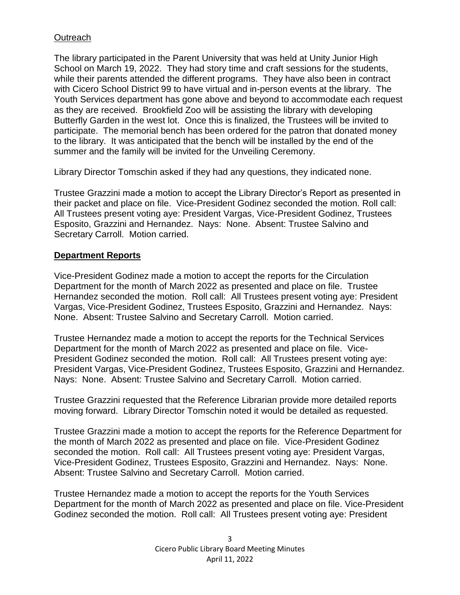## **Outreach**

The library participated in the Parent University that was held at Unity Junior High School on March 19, 2022. They had story time and craft sessions for the students, while their parents attended the different programs. They have also been in contract with Cicero School District 99 to have virtual and in-person events at the library. The Youth Services department has gone above and beyond to accommodate each request as they are received. Brookfield Zoo will be assisting the library with developing Butterfly Garden in the west lot. Once this is finalized, the Trustees will be invited to participate. The memorial bench has been ordered for the patron that donated money to the library. It was anticipated that the bench will be installed by the end of the summer and the family will be invited for the Unveiling Ceremony.

Library Director Tomschin asked if they had any questions, they indicated none.

Trustee Grazzini made a motion to accept the Library Director's Report as presented in their packet and place on file. Vice-President Godinez seconded the motion. Roll call: All Trustees present voting aye: President Vargas, Vice-President Godinez, Trustees Esposito, Grazzini and Hernandez. Nays: None. Absent: Trustee Salvino and Secretary Carroll. Motion carried.

### **Department Reports**

Vice-President Godinez made a motion to accept the reports for the Circulation Department for the month of March 2022 as presented and place on file. Trustee Hernandez seconded the motion. Roll call: All Trustees present voting aye: President Vargas, Vice-President Godinez, Trustees Esposito, Grazzini and Hernandez. Nays: None. Absent: Trustee Salvino and Secretary Carroll. Motion carried.

Trustee Hernandez made a motion to accept the reports for the Technical Services Department for the month of March 2022 as presented and place on file. Vice-President Godinez seconded the motion. Roll call: All Trustees present voting aye: President Vargas, Vice-President Godinez, Trustees Esposito, Grazzini and Hernandez. Nays: None. Absent: Trustee Salvino and Secretary Carroll. Motion carried.

Trustee Grazzini requested that the Reference Librarian provide more detailed reports moving forward. Library Director Tomschin noted it would be detailed as requested.

Trustee Grazzini made a motion to accept the reports for the Reference Department for the month of March 2022 as presented and place on file. Vice-President Godinez seconded the motion. Roll call: All Trustees present voting aye: President Vargas, Vice-President Godinez, Trustees Esposito, Grazzini and Hernandez. Nays: None. Absent: Trustee Salvino and Secretary Carroll. Motion carried.

Trustee Hernandez made a motion to accept the reports for the Youth Services Department for the month of March 2022 as presented and place on file. Vice-President Godinez seconded the motion. Roll call: All Trustees present voting aye: President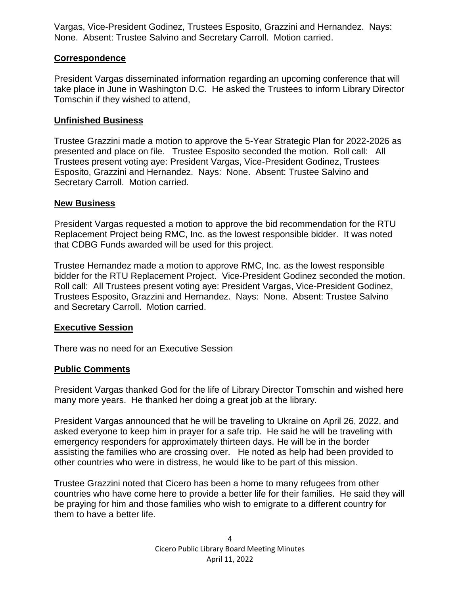Vargas, Vice-President Godinez, Trustees Esposito, Grazzini and Hernandez. Nays: None. Absent: Trustee Salvino and Secretary Carroll. Motion carried.

## **Correspondence**

President Vargas disseminated information regarding an upcoming conference that will take place in June in Washington D.C. He asked the Trustees to inform Library Director Tomschin if they wished to attend,

## **Unfinished Business**

Trustee Grazzini made a motion to approve the 5-Year Strategic Plan for 2022-2026 as presented and place on file. Trustee Esposito seconded the motion. Roll call: All Trustees present voting aye: President Vargas, Vice-President Godinez, Trustees Esposito, Grazzini and Hernandez. Nays: None. Absent: Trustee Salvino and Secretary Carroll. Motion carried.

## **New Business**

President Vargas requested a motion to approve the bid recommendation for the RTU Replacement Project being RMC, Inc. as the lowest responsible bidder. It was noted that CDBG Funds awarded will be used for this project.

Trustee Hernandez made a motion to approve RMC, Inc. as the lowest responsible bidder for the RTU Replacement Project. Vice-President Godinez seconded the motion. Roll call: All Trustees present voting aye: President Vargas, Vice-President Godinez, Trustees Esposito, Grazzini and Hernandez. Nays: None. Absent: Trustee Salvino and Secretary Carroll. Motion carried.

## **Executive Session**

There was no need for an Executive Session

## **Public Comments**

President Vargas thanked God for the life of Library Director Tomschin and wished here many more years. He thanked her doing a great job at the library.

President Vargas announced that he will be traveling to Ukraine on April 26, 2022, and asked everyone to keep him in prayer for a safe trip. He said he will be traveling with emergency responders for approximately thirteen days. He will be in the border assisting the families who are crossing over. He noted as help had been provided to other countries who were in distress, he would like to be part of this mission.

Trustee Grazzini noted that Cicero has been a home to many refugees from other countries who have come here to provide a better life for their families. He said they will be praying for him and those families who wish to emigrate to a different country for them to have a better life.